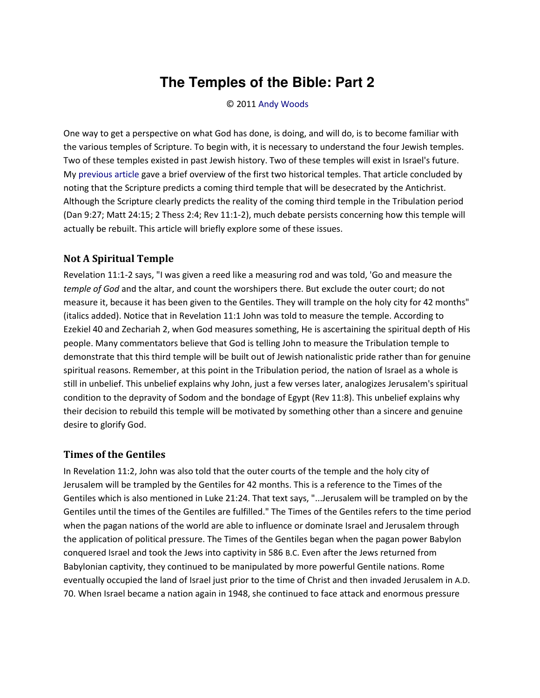# **The Temples of the Bible: Part 2**

#### © 2011 [Andy Woods](http://www.spiritandtruth.org/id/aw.htm)

One way to get a perspective on what God has done, is doing, and will do, is to become familiar with the various temples of Scripture. To begin with, it is necessary to understand the four Jewish temples. Two of these temples existed in past Jewish history. Two of these temples will exist in Israel's future. My [previous article](http://spiritandtruth.org/teaching/documents/articles/index.htm#84) gave a brief overview of the first two historical temples. That article concluded by noting that the Scripture predicts a coming third temple that will be desecrated by the Antichrist. Although the Scripture clearly predicts the reality of the coming third temple in the Tribulation period (Dan 9:27; Matt 24:15; 2 Thess 2:4; Rev 11:1-2), much debate persists concerning how this temple will actually be rebuilt. This article will briefly explore some of these issues.

#### **Not A Spiritual Temple**

Revelation 11:1-2 says, "I was given a reed like a measuring rod and was told, 'Go and measure the *temple of God* and the altar, and count the worshipers there. But exclude the outer court; do not measure it, because it has been given to the Gentiles. They will trample on the holy city for 42 months" (italics added). Notice that in Revelation 11:1 John was told to measure the temple. According to Ezekiel 40 and Zechariah 2, when God measures something, He is ascertaining the spiritual depth of His people. Many commentators believe that God is telling John to measure the Tribulation temple to demonstrate that this third temple will be built out of Jewish nationalistic pride rather than for genuine spiritual reasons. Remember, at this point in the Tribulation period, the nation of Israel as a whole is still in unbelief. This unbelief explains why John, just a few verses later, analogizes Jerusalem's spiritual condition to the depravity of Sodom and the bondage of Egypt (Rev 11:8). This unbelief explains why their decision to rebuild this temple will be motivated by something other than a sincere and genuine desire to glorify God.

#### **Times of the Gentiles**

In Revelation 11:2, John was also told that the outer courts of the temple and the holy city of Jerusalem will be trampled by the Gentiles for 42 months. This is a reference to the Times of the Gentiles which is also mentioned in Luke 21:24. That text says, "...Jerusalem will be trampled on by the Gentiles until the times of the Gentiles are fulfilled." The Times of the Gentiles refers to the time period when the pagan nations of the world are able to influence or dominate Israel and Jerusalem through the application of political pressure. The Times of the Gentiles began when the pagan power Babylon conquered Israel and took the Jews into captivity in 586 B.C. Even after the Jews returned from Babylonian captivity, they continued to be manipulated by more powerful Gentile nations. Rome eventually occupied the land of Israel just prior to the time of Christ and then invaded Jerusalem in A.D. 70. When Israel became a nation again in 1948, she continued to face attack and enormous pressure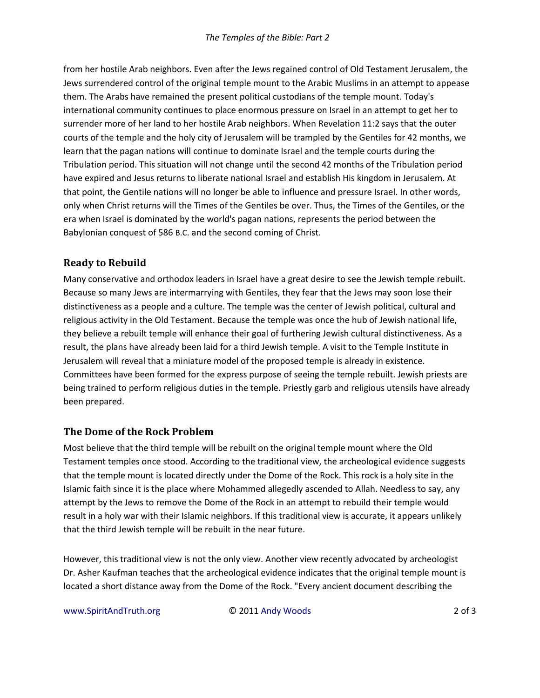from her hostile Arab neighbors. Even after the Jews regained control of Old Testament Jerusalem, the Jews surrendered control of the original temple mount to the Arabic Muslims in an attempt to appease them. The Arabs have remained the present political custodians of the temple mount. Today's international community continues to place enormous pressure on Israel in an attempt to get her to surrender more of her land to her hostile Arab neighbors. When Revelation 11:2 says that the outer courts of the temple and the holy city of Jerusalem will be trampled by the Gentiles for 42 months, we learn that the pagan nations will continue to dominate Israel and the temple courts during the Tribulation period. This situation will not change until the second 42 months of the Tribulation period have expired and Jesus returns to liberate national Israel and establish His kingdom in Jerusalem. At that point, the Gentile nations will no longer be able to influence and pressure Israel. In other words, only when Christ returns will the Times of the Gentiles be over. Thus, the Times of the Gentiles, or the era when Israel is dominated by the world's pagan nations, represents the period between the Babylonian conquest of 586 B.C. and the second coming of Christ.

### **Ready to Rebuild**

Many conservative and orthodox leaders in Israel have a great desire to see the Jewish temple rebuilt. Because so many Jews are intermarrying with Gentiles, they fear that the Jews may soon lose their distinctiveness as a people and a culture. The temple was the center of Jewish political, cultural and religious activity in the Old Testament. Because the temple was once the hub of Jewish national life, they believe a rebuilt temple will enhance their goal of furthering Jewish cultural distinctiveness. As a result, the plans have already been laid for a third Jewish temple. A visit to the Temple Institute in Jerusalem will reveal that a miniature model of the proposed temple is already in existence. Committees have been formed for the express purpose of seeing the temple rebuilt. Jewish priests are being trained to perform religious duties in the temple. Priestly garb and religious utensils have already been prepared.

### **The Dome of the Rock Problem**

Most believe that the third temple will be rebuilt on the original temple mount where the Old Testament temples once stood. According to the traditional view, the archeological evidence suggests that the temple mount is located directly under the Dome of the Rock. This rock is a holy site in the Islamic faith since it is the place where Mohammed allegedly ascended to Allah. Needless to say, any attempt by the Jews to remove the Dome of the Rock in an attempt to rebuild their temple would result in a holy war with their Islamic neighbors. If this traditional view is accurate, it appears unlikely that the third Jewish temple will be rebuilt in the near future.

However, this traditional view is not the only view. Another view recently advocated by archeologist Dr. Asher Kaufman teaches that the archeological evidence indicates that the original temple mount is located a short distance away from the Dome of the Rock. "Every ancient document describing the

www.SpiritAndTruth.org © 2011 Andy Woods 2 of 3